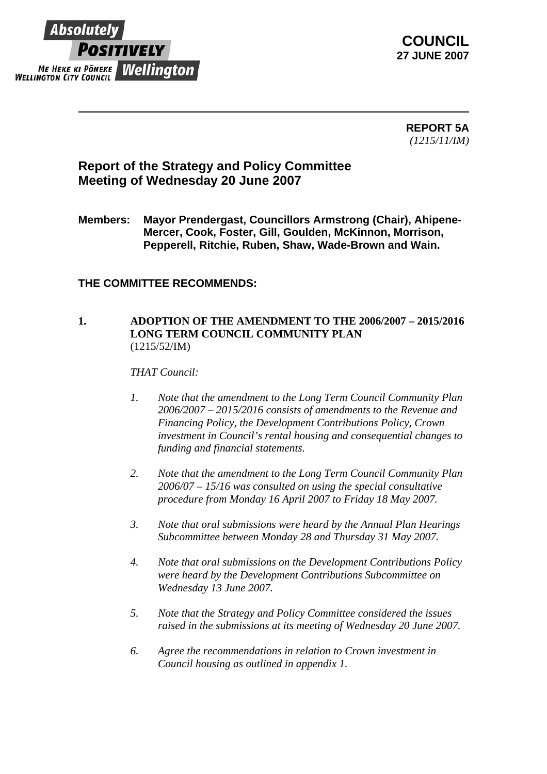

**COUNCIL 27 JUNE 2007** 

> **REPORT 5A** *(1215/11/IM)*

## **Report of the Strategy and Policy Committee Meeting of Wednesday 20 June 2007**

**Members: Mayor Prendergast, Councillors Armstrong (Chair), Ahipene-Mercer, Cook, Foster, Gill, Goulden, McKinnon, Morrison, Pepperell, Ritchie, Ruben, Shaw, Wade-Brown and Wain.** 

## **THE COMMITTEE RECOMMENDS:**

## **1. ADOPTION OF THE AMENDMENT TO THE 2006/2007 – 2015/2016 LONG TERM COUNCIL COMMUNITY PLAN**  (1215/52/IM)

*THAT Council:* 

- *1. Note that the amendment to the Long Term Council Community Plan 2006/2007 – 2015/2016 consists of amendments to the Revenue and Financing Policy, the Development Contributions Policy, Crown investment in Council's rental housing and consequential changes to funding and financial statements.*
- *2. Note that the amendment to the Long Term Council Community Plan 2006/07 – 15/16 was consulted on using the special consultative procedure from Monday 16 April 2007 to Friday 18 May 2007.*
- *3. Note that oral submissions were heard by the Annual Plan Hearings Subcommittee between Monday 28 and Thursday 31 May 2007.*
- *4. Note that oral submissions on the Development Contributions Policy were heard by the Development Contributions Subcommittee on Wednesday 13 June 2007.*
- *5. Note that the Strategy and Policy Committee considered the issues raised in the submissions at its meeting of Wednesday 20 June 2007.*
- *6. Agree the recommendations in relation to Crown investment in Council housing as outlined in appendix 1.*